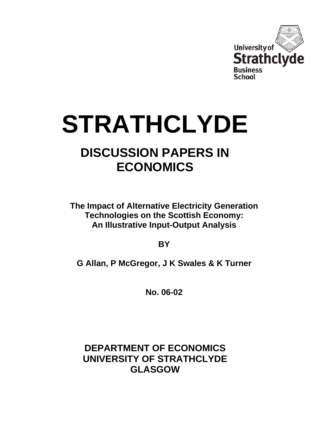

# **STRATHCLYDE**

## **DISCUSSION PAPERS IN ECONOMICS**

**The Impact of Alternative Electricity Generation Technologies on the Scottish Economy: An Illustrative Input-Output Analysis** 

**BY** 

**G Allan, P McGregor, J K Swales & K Turner** 

**No. 06-02** 

**DEPARTMENT OF ECONOMICS UNIVERSITY OF STRATHCLYDE GLASGOW**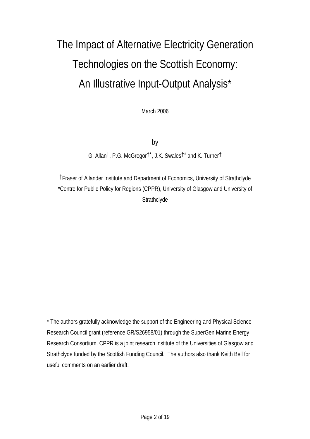# The Impact of Alternative Electricity Generation Technologies on the Scottish Economy: An Illustrative Input-Output Analysis\*

March 2006

by

G. Allan†, P.G. McGregor†\*, J.K. Swales†\* and K. Turner†

†Fraser of Allander Institute and Department of Economics, University of Strathclyde \*Centre for Public Policy for Regions (CPPR), University of Glasgow and University of **Strathclyde** 

\* The authors gratefully acknowledge the support of the Engineering and Physical Science Research Council grant (reference GR/S26958/01) through the SuperGen Marine Energy Research Consortium. CPPR is a joint research institute of the Universities of Glasgow and Strathclyde funded by the Scottish Funding Council. The authors also thank Keith Bell for useful comments on an earlier draft.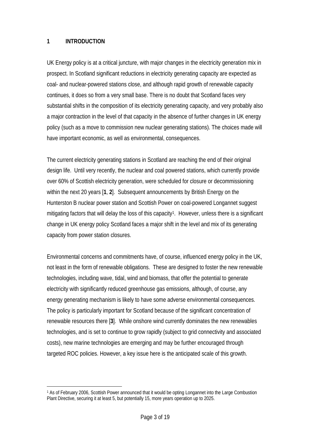#### **1 INTRODUCTION**

 $\overline{a}$ 

UK Energy policy is at a critical juncture, with major changes in the electricity generation mix in prospect. In Scotland significant reductions in electricity generating capacity are expected as coal- and nuclear-powered stations close, and although rapid growth of renewable capacity continues, it does so from a very small base. There is no doubt that Scotland faces very substantial shifts in the composition of its electricity generating capacity, and very probably also a major contraction in the level of that capacity in the absence of further changes in UK energy policy (such as a move to commission new nuclear generating stations). The choices made will have important economic, as well as environmental, consequences.

The current electricity generating stations in Scotland are reaching the end of their original design life. Until very recently, the nuclear and coal powered stations, which currently provide over 60% of Scottish electricity generation, were scheduled for closure or decommissioning within the next 20 years [**1**, **2**]. Subsequent announcements by British Energy on the Hunterston B nuclear power station and Scottish Power on coal-powered Longannet suggest mitigating factors that will delay the loss of this capacity<sup>1</sup>. However, unless there is a significant change in UK energy policy Scotland faces a major shift in the level and mix of its generating capacity from power station closures.

Environmental concerns and commitments have, of course, influenced energy policy in the UK, not least in the form of renewable obligations. These are designed to foster the new renewable technologies, including wave, tidal, wind and biomass, that offer the potential to generate electricity with significantly reduced greenhouse gas emissions, although, of course, any energy generating mechanism is likely to have some adverse environmental consequences. The policy is particularly important for Scotland because of the significant concentration of renewable resources there [**3**]. While onshore wind currently dominates the new renewables technologies, and is set to continue to grow rapidly (subject to grid connectivity and associated costs), new marine technologies are emerging and may be further encouraged through targeted ROC policies. However, a key issue here is the anticipated scale of this growth.

<span id="page-2-0"></span><sup>1</sup> As of February 2006, Scottish Power announced that it would be opting Longannet into the Large Combustion Plant Directive, securing it at least 5, but potentially 15, more years operation up to 2025.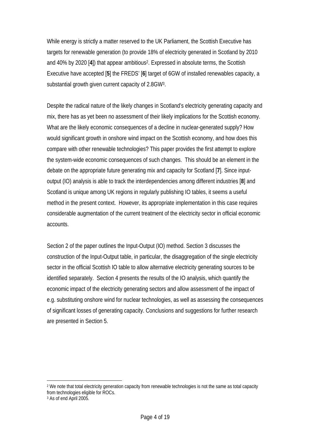While energy is strictly a matter reserved to the UK Parliament, the Scottish Executive has targets for renewable generation (to provide 18% of electricity generated in Scotland by 2010 and 40% by 2020 [**4**]) that appear ambitious[2.](#page-3-0) Expressed in absolute terms, the Scottish Executive have accepted [**5**] the FREDS' [**6**] target of 6GW of installed renewables capacity, a substantial growth given current capacity of 2.8G[W3.](#page-3-1)

Despite the radical nature of the likely changes in Scotland's electricity generating capacity and mix, there has as yet been no assessment of their likely implications for the Scottish economy. What are the likely economic consequences of a decline in nuclear-generated supply? How would significant growth in onshore wind impact on the Scottish economy, and how does this compare with other renewable technologies? This paper provides the first attempt to explore the system-wide economic consequences of such changes. This should be an element in the debate on the appropriate future generating mix and capacity for Scotland [**7**]. Since inputoutput (IO) analysis is able to track the interdependencies among different industries [**8**] and Scotland is unique among UK regions in regularly publishing IO tables, it seems a useful method in the present context. However, its appropriate implementation in this case requires considerable augmentation of the current treatment of the electricity sector in official economic accounts.

Section 2 of the paper outlines the Input-Output (IO) method. Section 3 discusses the construction of the Input-Output table, in particular, the disaggregation of the single electricity sector in the official Scottish IO table to allow alternative electricity generating sources to be identified separately. Section 4 presents the results of the IO analysis, which quantify the economic impact of the electricity generating sectors and allow assessment of the impact of e.g. substituting onshore wind for nuclear technologies, as well as assessing the consequences of significant losses of generating capacity. Conclusions and suggestions for further research are presented in Section 5.

 $\overline{a}$ 

<span id="page-3-0"></span><sup>2</sup> We note that total electricity generation capacity from renewable technologies is not the same as total capacity from technologies eligible for ROCs.

<span id="page-3-1"></span><sup>3</sup> As of end April 2005.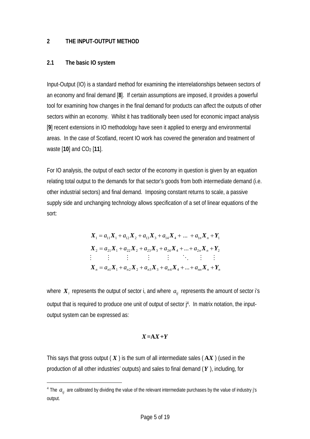#### **2 THE INPUT-OUTPUT METHOD**

#### **2.1 The basic IO system**

 $\overline{a}$ 

Input-Output (IO) is a standard method for examining the interrelationships between sectors of an economy and final demand [**8**]. If certain assumptions are imposed, it provides a powerful tool for examining how changes in the final demand for products can affect the outputs of other sectors within an economy. Whilst it has traditionally been used for economic impact analysis [**9**] recent extensions in IO methodology have seen it applied to energy and environmental areas. In the case of Scotland, recent IO work has covered the generation and treatment of waste  $[10]$  and  $CO<sub>2</sub> [11]$ .

For IO analysis, the output of each sector of the economy in question is given by an equation relating total output to the demands for that sector's goods from both intermediate demand (i.e. other industrial sectors) and final demand. Imposing constant returns to scale, a passive supply side and unchanging technology allows specification of a set of linear equations of the sort:

$$
X_1 = a_{11}X_1 + a_{12}X_2 + a_{13}X_3 + a_{14}X_4 + \dots + a_{1n}X_n + Y_1
$$
  
\n
$$
X_2 = a_{21}X_1 + a_{22}X_2 + a_{23}X_3 + a_{24}X_4 + \dots + a_{2n}X_n + Y_2
$$
  
\n
$$
\vdots \qquad \vdots \qquad \vdots \qquad \vdots \qquad \vdots \qquad \vdots \qquad \vdots \qquad \vdots \qquad \vdots
$$
  
\n
$$
X_n = a_{n1}X_1 + a_{n2}X_2 + a_{n3}X_3 + a_{n4}X_4 + \dots + a_{nn}X_n + Y_n
$$

where  $\boldsymbol{X}_i$  represents the output of sector i, and where  $\boldsymbol{a}_{ij}$  represents the amount of sector i's output that is required to produce one unit of output of sector j [4.](#page-4-0) In matrix notation, the inputoutput system can be expressed as:

#### *X***=A***X***+***Y*

This says that gross output ( *X* ) is the sum of all intermediate sales ( **A***X* ) (used in the production of all other industries' outputs) and sales to final demand (*Y* ), including, for

<span id="page-4-0"></span> $^4$  The  $a_{ij}$  are calibrated by dividing the value of the relevant intermediate purchases by the value of industry j's output.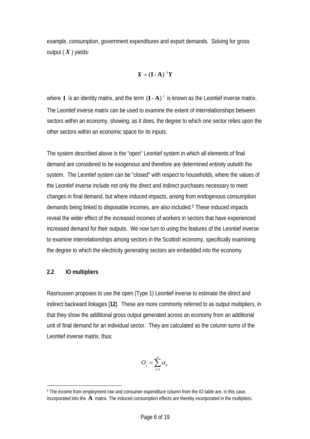example, consumption, government expenditures and export demands. Solving for gross output ( *X* ) yields:

$$
\boldsymbol{X} = (\mathbf{I} \cdot \mathbf{A})^{-1} \boldsymbol{Y}
$$

where **I** is an identity matrix, and the term  $(I - A)^{-1}$  is known as the Leontief inverse matrix. The Leontief inverse matrix can be used to examine the extent of interrelationships between sectors within an economy, showing, as it does, the degree to which one sector relies upon the other sectors within an economic space for its inputs.

The system described above is the "open" Leontief system in which all elements of final demand are considered to be exogenous and therefore are determined entirely outwith the system. The Leontief system can be "closed" with respect to households, where the values of the Leontief inverse include not only the direct and indirect purchases necessary to meet changes in final demand, but where induced impacts, arising from endogenous consumption demands being linked to disposable incomes, are also included[.5](#page-5-0) These induced impacts reveal the wider effect of the increased incomes of workers in sectors that have experienced increased demand for their outputs. We now turn to using the features of the Leontief inverse to examine interrelationships among sectors in the Scottish economy, specifically examining the degree to which the electricity generating sectors are embedded into the economy.

#### **2.2 IO multipliers**

Rasmussen proposes to use the open (Type 1) Leontief inverse to estimate the direct and indirect backward linkages [**12**]. These are more commonly referred to as output multipliers, in that they show the additional gross output generated across an economy from an additional unit of final demand for an individual sector. They are calculated as the column sums of the Leontief inverse matrix, thus:

$$
O_j = \sum_{i=1}^n \alpha_{ij}
$$

<span id="page-5-0"></span> $\overline{a}$ 5 The income from employment row and consumer expenditure column from the IO table are, in this case, incorporated into the **A** matrix. The induced consumption effects are thereby incorporated in the multipliers.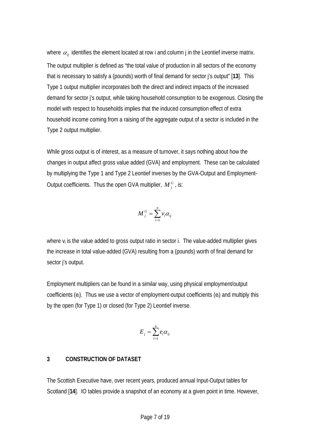where  $\alpha_{ij}$  identifies the element located at row i and column j in the Leontief inverse matrix. The output multiplier is defined as "the total value of production in all sectors of the economy that is necessary to satisfy a (pounds) worth of final demand for sector j's output" [**13**]. This Type 1 output multiplier incorporates both the direct and indirect impacts of the increased demand for sector j's output, while taking household consumption to be exogenous. Closing the model with respect to households implies that the induced consumption effect of extra household income coming from a raising of the aggregate output of a sector is included in the Type 2 output multiplier.

While gross output is of interest, as a measure of turnover, it says nothing about how the changes in output affect gross value added (GVA) and employment. These can be calculated by multiplying the Type 1 and Type 2 Leontief inverses by the GVA-Output and Employment-Output coefficients. Thus the open GVA multiplier,  $M_i^G$ , is:

$$
M_j^G = \sum_{i=1}^n v_i \alpha_{ij}
$$

where v<sub>i</sub> is the value added to gross output ratio in sector i. The value-added multiplier gives the increase in total value-added (GVA) resulting from a (pounds) worth of final demand for sector j's output.

Employment multipliers can be found in a similar way, using physical employment/output coefficients (ei). Thus we use a vector of employment-output coefficients (ei) and multiply this by the open (for Type 1) or closed (for Type 2) Leontief inverse.

$$
E_j = \sum_{i=1}^n e_i \alpha_{ij}
$$

#### **3 CONSTRUCTION OF DATASET**

The Scottish Executive have, over recent years, produced annual Input-Output tables for Scotland [**14**]. IO tables provide a snapshot of an economy at a given point in time. However,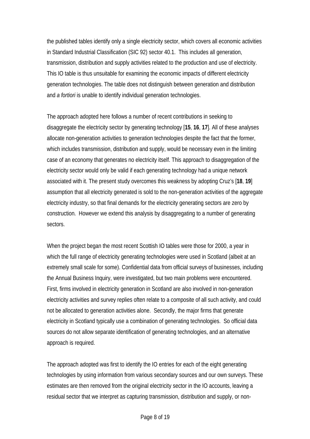the published tables identify only a single electricity sector, which covers all economic activities in Standard Industrial Classification (SIC 92) sector 40.1. This includes all generation, transmission, distribution and supply activities related to the production and use of electricity. This IO table is thus unsuitable for examining the economic impacts of different electricity generation technologies. The table does not distinguish between generation and distribution and *a fortiori* is unable to identify individual generation technologies.

The approach adopted here follows a number of recent contributions in seeking to disaggregate the electricity sector by generating technology [**15**, **16**, **17**]. All of these analyses allocate non-generation activities to generation technologies despite the fact that the former, which includes transmission, distribution and supply, would be necessary even in the limiting case of an economy that generates no electricity itself. This approach to disaggregation of the electricity sector would only be valid if each generating technology had a unique network associated with it. The present study overcomes this weakness by adopting Cruz's [**18**, **19**] assumption that all electricity generated is sold to the non-generation activities of the aggregate electricity industry, so that final demands for the electricity generating sectors are zero by construction. However we extend this analysis by disaggregating to a number of generating sectors.

When the project began the most recent Scottish IO tables were those for 2000, a year in which the full range of electricity generating technologies were used in Scotland (albeit at an extremely small scale for some). Confidential data from official surveys of businesses, including the Annual Business Inquiry, were investigated, but two main problems were encountered. First, firms involved in electricity generation in Scotland are also involved in non-generation electricity activities and survey replies often relate to a composite of all such activity, and could not be allocated to generation activities alone. Secondly, the major firms that generate electricity in Scotland typically use a combination of generating technologies. So official data sources do not allow separate identification of generating technologies, and an alternative approach is required.

The approach adopted was first to identify the IO entries for each of the eight generating technologies by using information from various secondary sources and our own surveys. These estimates are then removed from the original electricity sector in the IO accounts, leaving a residual sector that we interpret as capturing transmission, distribution and supply, or non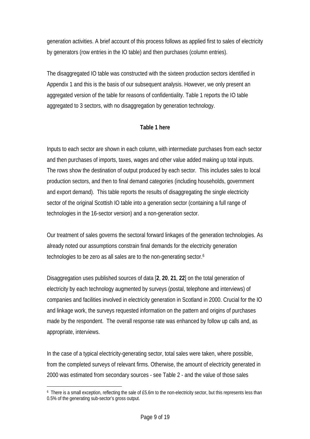generation activities. A brief account of this process follows as applied first to sales of electricity by generators (row entries in the IO table) and then purchases (column entries).

The disaggregated IO table was constructed with the sixteen production sectors identified in Appendix 1 and this is the basis of our subsequent analysis. However, we only present an aggregated version of the table for reasons of confidentiality. Table 1 reports the IO table aggregated to 3 sectors, with no disaggregation by generation technology.

#### **Table 1 here**

Inputs to each sector are shown in each column, with intermediate purchases from each sector and then purchases of imports, taxes, wages and other value added making up total inputs. The rows show the destination of output produced by each sector. This includes sales to local production sectors, and then to final demand categories (including households, government and export demand). This table reports the results of disaggregating the single electricity sector of the original Scottish IO table into a generation sector (containing a full range of technologies in the 16-sector version) and a non-generation sector.

Our treatment of sales governs the sectoral forward linkages of the generation technologies. As already noted our assumptions constrain final demands for the electricity generation technologies to be zero as all sales are to the non-generating sector.[6](#page-8-0) 

Disaggregation uses published sources of data [**2**, **20**, **21**, **22**] on the total generation of electricity by each technology augmented by surveys (postal, telephone and interviews) of companies and facilities involved in electricity generation in Scotland in 2000. Crucial for the IO and linkage work, the surveys requested information on the pattern and origins of purchases made by the respondent. The overall response rate was enhanced by follow up calls and, as appropriate, interviews.

In the case of a typical electricity-generating sector, total sales were taken, where possible, from the completed surveys of relevant firms. Otherwise, the amount of electricity generated in 2000 was estimated from secondary sources - see Table 2 - and the value of those sales

 $\overline{a}$ 

<span id="page-8-0"></span><sup>6</sup> There is a small exception, reflecting the sale of £5.6m to the non-electricity sector, but this represents less than 0.5% of the generating sub-sector's gross output.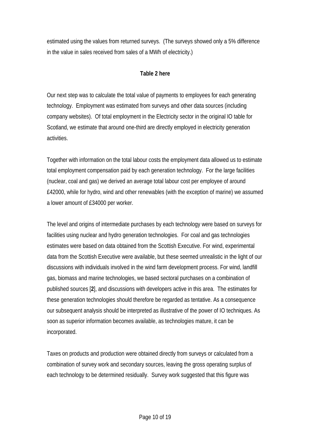estimated using the values from returned surveys. (The surveys showed only a 5% difference in the value in sales received from sales of a MWh of electricity.)

#### **Table 2 here**

Our next step was to calculate the total value of payments to employees for each generating technology. Employment was estimated from surveys and other data sources (including company websites). Of total employment in the Electricity sector in the original IO table for Scotland, we estimate that around one-third are directly employed in electricity generation activities.

Together with information on the total labour costs the employment data allowed us to estimate total employment compensation paid by each generation technology. For the large facilities (nuclear, coal and gas) we derived an average total labour cost per employee of around £42000, while for hydro, wind and other renewables (with the exception of marine) we assumed a lower amount of £34000 per worker.

The level and origins of intermediate purchases by each technology were based on surveys for facilities using nuclear and hydro generation technologies. For coal and gas technologies estimates were based on data obtained from the Scottish Executive. For wind, experimental data from the Scottish Executive were available, but these seemed unrealistic in the light of our discussions with individuals involved in the wind farm development process. For wind, landfill gas, biomass and marine technologies, we based sectoral purchases on a combination of published sources [**2**], and discussions with developers active in this area. The estimates for these generation technologies should therefore be regarded as tentative. As a consequence our subsequent analysis should be interpreted as illustrative of the power of IO techniques. As soon as superior information becomes available, as technologies mature, it can be incorporated.

Taxes on products and production were obtained directly from surveys or calculated from a combination of survey work and secondary sources, leaving the gross operating surplus of each technology to be determined residually. Survey work suggested that this figure was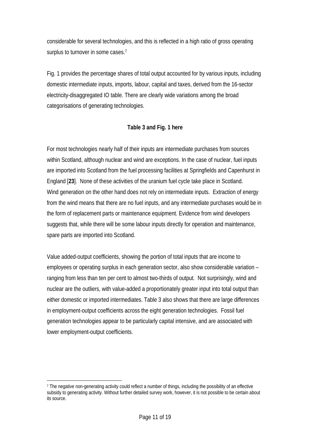considerable for several technologies, and this is reflected in a high ratio of gross operating surplus to turnover in some cases.<sup>7</sup>

Fig. 1 provides the percentage shares of total output accounted for by various inputs, including domestic intermediate inputs, imports, labour, capital and taxes, derived from the 16-sector electricity-disaggregated IO table. There are clearly wide variations among the broad categorisations of generating technologies.

#### **Table 3 and Fig. 1 here**

For most technologies nearly half of their inputs are intermediate purchases from sources within Scotland, although nuclear and wind are exceptions. In the case of nuclear, fuel inputs are imported into Scotland from the fuel processing facilities at Springfields and Capenhurst in England [**23**]. None of these activities of the uranium fuel cycle take place in Scotland. Wind generation on the other hand does not rely on intermediate inputs. Extraction of energy from the wind means that there are no fuel inputs, and any intermediate purchases would be in the form of replacement parts or maintenance equipment. Evidence from wind developers suggests that, while there will be some labour inputs directly for operation and maintenance, spare parts are imported into Scotland.

Value added-output coefficients, showing the portion of total inputs that are income to employees or operating surplus in each generation sector, also show considerable variation – ranging from less than ten per cent to almost two-thirds of output. Not surprisingly, wind and nuclear are the outliers, with value-added a proportionately greater input into total output than either domestic or imported intermediates. Table 3 also shows that there are large differences in employment-output coefficients across the eight generation technologies. Fossil fuel generation technologies appear to be particularly capital intensive, and are associated with lower employment-output coefficients.

 $\overline{a}$ 

<span id="page-10-0"></span><sup>7</sup> The negative non-generating activity could reflect a number of things, including the possibility of an effective subsidy to generating activity. Without further detailed survey work, however, it is not possible to be certain about its source.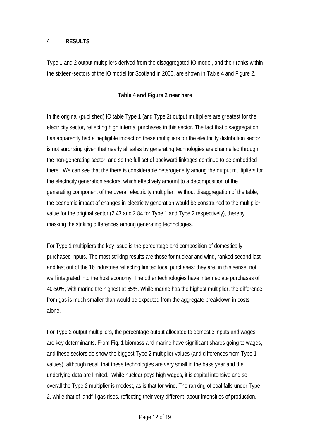#### **4 RESULTS**

Type 1 and 2 output multipliers derived from the disaggregated IO model, and their ranks within the sixteen-sectors of the IO model for Scotland in 2000, are shown in Table 4 and Figure 2.

#### **Table 4 and Figure 2 near here**

In the original (published) IO table Type 1 (and Type 2) output multipliers are greatest for the electricity sector, reflecting high internal purchases in this sector. The fact that disaggregation has apparently had a negligible impact on these multipliers for the electricity distribution sector is not surprising given that nearly all sales by generating technologies are channelled through the non-generating sector, and so the full set of backward linkages continue to be embedded there. We can see that the there is considerable heterogeneity among the output multipliers for the electricity generation sectors, which effectively amount to a decomposition of the generating component of the overall electricity multiplier. Without disaggregation of the table, the economic impact of changes in electricity generation would be constrained to the multiplier value for the original sector (2.43 and 2.84 for Type 1 and Type 2 respectively), thereby masking the striking differences among generating technologies.

For Type 1 multipliers the key issue is the percentage and composition of domestically purchased inputs. The most striking results are those for nuclear and wind, ranked second last and last out of the 16 industries reflecting limited local purchases: they are, in this sense, not well integrated into the host economy. The other technologies have intermediate purchases of 40-50%, with marine the highest at 65%. While marine has the highest multiplier, the difference from gas is much smaller than would be expected from the aggregate breakdown in costs alone.

For Type 2 output multipliers, the percentage output allocated to domestic inputs and wages are key determinants. From Fig. 1 biomass and marine have significant shares going to wages, and these sectors do show the biggest Type 2 multiplier values (and differences from Type 1 values), although recall that these technologies are very small in the base year and the underlying data are limited. While nuclear pays high wages, it is capital intensive and so overall the Type 2 multiplier is modest, as is that for wind. The ranking of coal falls under Type 2, while that of landfill gas rises, reflecting their very different labour intensities of production.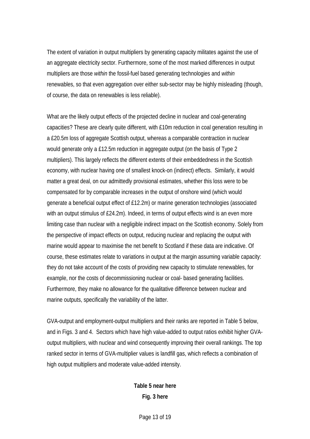The extent of variation in output multipliers by generating capacity militates against the use of an aggregate electricity sector. Furthermore, some of the most marked differences in output multipliers are those *within* the fossil-fuel based generating technologies and *within* renewables, so that even aggregation over either sub-sector may be highly misleading (though, of course, the data on renewables is less reliable).

What are the likely output effects of the projected decline in nuclear and coal-generating capacities? These are clearly quite different, with £10m reduction in coal generation resulting in a £20.5m loss of aggregate Scottish output, whereas a comparable contraction in nuclear would generate only a £12.5m reduction in aggregate output (on the basis of Type 2 multipliers). This largely reflects the different extents of their embeddedness in the Scottish economy, with nuclear having one of smallest knock-on (indirect) effects. Similarly, it would matter a great deal, on our admittedly provisional estimates, whether this loss were to be compensated for by comparable increases in the output of onshore wind (which would generate a beneficial output effect of £12.2m) or marine generation technologies (associated with an output stimulus of £24.2m). Indeed, in terms of output effects wind is an even more limiting case than nuclear with a negligible indirect impact on the Scottish economy. Solely from the perspective of impact effects on output, reducing nuclear and replacing the output with marine would appear to maximise the net benefit to Scotland if these data are indicative. Of course, these estimates relate to variations in output at the margin assuming variable capacity: they do not take account of the costs of providing new capacity to stimulate renewables, for example, nor the costs of decommissioning nuclear or coal- based generating facilities. Furthermore, they make no allowance for the qualitative difference between nuclear and marine outputs, specifically the variability of the latter.

GVA-output and employment-output multipliers and their ranks are reported in Table 5 below, and in Figs. 3 and 4. Sectors which have high value-added to output ratios exhibit higher GVAoutput multipliers, with nuclear and wind consequently improving their overall rankings. The top ranked sector in terms of GVA-multiplier values is landfill gas, which reflects a combination of high output multipliers and moderate value-added intensity.

> **Table 5 near here Fig. 3 here**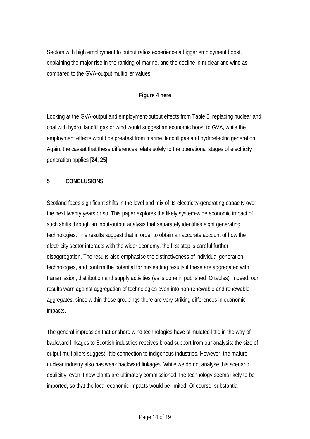Sectors with high employment to output ratios experience a bigger employment boost, explaining the major rise in the ranking of marine, and the decline in nuclear and wind as compared to the GVA-output multiplier values.

#### **Figure 4 here**

Looking at the GVA-output and employment-output effects from Table 5, replacing nuclear and coal with hydro, landfill gas or wind would suggest an economic boost to GVA, while the employment effects would be greatest from marine, landfill gas and hydroelectric generation. Again, the caveat that these differences relate solely to the operational stages of electricity generation applies [**24, 25**].

#### **5 CONCLUSIONS**

Scotland faces significant shifts in the level and mix of its electricity-generating capacity over the next twenty years or so. This paper explores the likely system-wide economic impact of such shifts through an input-output analysis that separately identifies eight generating technologies. The results suggest that in order to obtain an accurate account of how the electricity sector interacts with the wider economy, the first step is careful further disaggregation. The results also emphasise the distinctiveness of individual generation technologies, and confirm the potential for misleading results if these are aggregated with transmission, distribution and supply activities (as is done in published IO tables). Indeed, our results warn against aggregation of technologies even into non-renewable and renewable aggregates, since within these groupings there are very striking differences in economic impacts.

The general impression that onshore wind technologies have stimulated little in the way of backward linkages to Scottish industries receives broad support from our analysis: the size of output multipliers suggest little connection to indigenous industries. However, the mature nuclear industry also has weak backward linkages. While we do not analyse this scenario explicitly, even if new plants are ultimately commissioned, the technology seems likely to be imported, so that the local economic impacts would be limited. Of course, substantial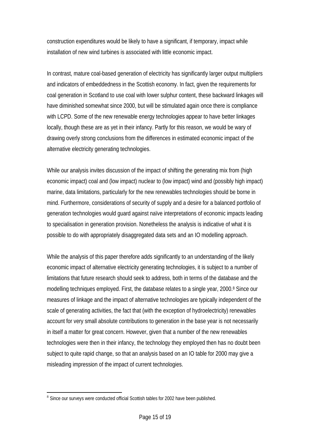construction expenditures would be likely to have a significant, if temporary, impact while installation of new wind turbines is associated with little economic impact.

In contrast, mature coal-based generation of electricity has significantly larger output multipliers and indicators of embeddedness in the Scottish economy. In fact, given the requirements for coal generation in Scotland to use coal with lower sulphur content, these backward linkages will have diminished somewhat since 2000, but will be stimulated again once there is compliance with LCPD. Some of the new renewable energy technologies appear to have better linkages locally, though these are as yet in their infancy. Partly for this reason, we would be wary of drawing overly strong conclusions from the differences in estimated economic impact of the alternative electricity generating technologies.

While our analysis invites discussion of the impact of shifting the generating mix from (high economic impact) coal and (low impact) nuclear to (low impact) wind and (possibly high impact) marine, data limitations, particularly for the new renewables technologies should be borne in mind. Furthermore, considerations of security of supply and a desire for a balanced portfolio of generation technologies would guard against naïve interpretations of economic impacts leading to specialisation in generation provision. Nonetheless the analysis is indicative of what it is possible to do with appropriately disaggregated data sets and an IO modelling approach.

While the analysis of this paper therefore adds significantly to an understanding of the likely economic impact of alternative electricity generating technologies, it is subject to a number of limitations that future research should seek to address, both in terms of the database and the modelling techniques employed. First, the database relates to a single year, 2000.<sup>8</sup> Since our measures of linkage and the impact of alternative technologies are typically independent of the scale of generating activities, the fact that (with the exception of hydroelectricity) renewables account for very small absolute contributions to generation in the base year is not necessarily in itself a matter for great concern. However, given that a number of the new renewables technologies were then in their infancy, the technology they employed then has no doubt been subject to quite rapid change, so that an analysis based on an IO table for 2000 may give a misleading impression of the impact of current technologies.

 $\overline{a}$ 

<span id="page-14-0"></span><sup>&</sup>lt;sup>8</sup> Since our surveys were conducted official Scottish tables for 2002 have been published.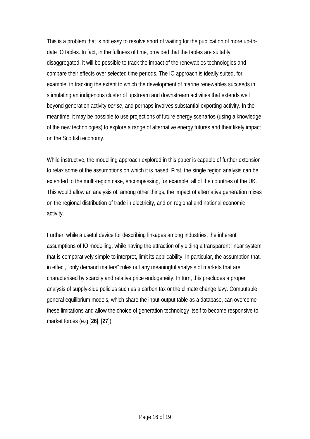This is a problem that is not easy to resolve short of waiting for the publication of more up-todate IO tables. In fact, in the fullness of time, provided that the tables are suitably disaggregated, it will be possible to track the impact of the renewables technologies and compare their effects over selected time periods. The IO approach is ideally suited, for example, to tracking the extent to which the development of marine renewables succeeds in stimulating an indigenous cluster of upstream and downstream activities that extends well beyond generation activity *per se*, and perhaps involves substantial exporting activity. In the meantime, it may be possible to use projections of future energy scenarios (using a knowledge of the new technologies) to explore a range of alternative energy futures and their likely impact on the Scottish economy.

While instructive, the modelling approach explored in this paper is capable of further extension to relax some of the assumptions on which it is based. First, the single region analysis can be extended to the multi-region case, encompassing, for example, all of the countries of the UK. This would allow an analysis of, among other things, the impact of alternative generation mixes on the regional distribution of trade in electricity, and on regional and national economic activity.

Further, while a useful device for describing linkages among industries, the inherent assumptions of IO modelling, while having the attraction of yielding a transparent linear system that is comparatively simple to interpret, limit its applicability. In particular, the assumption that, in effect, "only demand matters" rules out any meaningful analysis of markets that are characterised by scarcity and relative price endogeneity. In turn, this precludes a proper analysis of supply-side policies such as a carbon tax or the climate change levy. Computable general equilibrium models, which share the input-output table as a database, can overcome these limitations and allow the choice of generation technology itself to become responsive to market forces (e.g [**26**], [**27**]).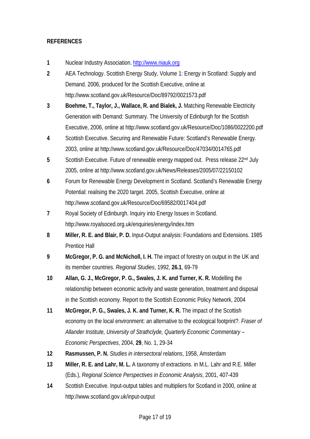#### **REFERENCES**

- **1** Nuclear Industry Association. [http://www.niauk.org](http://www.niauk.org/)
- **2** AEA Technology. Scottish Energy Study, Volume 1: Energy in Scotland: Supply and Demand. 2006, produced for the Scottish Executive, online at http://www.scotland.gov.uk/Resource/Doc/89792/0021573.pdf
- **3 Boehme, T., Taylor, J., Wallace, R. and Bialek, J.** Matching Renewable Electricity Generation with Demand: Summary. The University of Edinburgh for the Scottish Executive, 2006, online at http://www.scotland.gov.uk/Resource/Doc/1086/0022200.pdf
- **4** Scottish Executive. Securing and Renewable Future: Scotland's Renewable Energy. 2003, online at http://www.scotland.gov.uk/Resource/Doc/47034/0014765.pdf
- 5 Scottish Executive. Future of renewable energy mapped out. Press release 22<sup>nd</sup> July 2005, online at http://www.scotland.gov.uk/News/Releases/2005/07/22150102
- **6** Forum for Renewable Energy Development in Scotland. Scotland's Renewable Energy Potential: realising the 2020 target. 2005, Scottish Executive, online at http://www.scotland.gov.uk/Resource/Doc/69582/0017404.pdf
- **7** Royal Society of Edinburgh. Inquiry into Energy Issues in Scotland. http://www.royalsoced.org.uk/enquiries/energy/index.htm
- **8 Miller, R. E. and Blair, P. D.** Input-Output analysis: Foundations and Extensions. 1985 Prentice Hall
- **9** McGregor, P. G. and McNicholl, I. H. The impact of forestry on output in the UK and its member countries. *Regional Studies*, 1992, **26.1**, 69-79
- **10 Allan, G. J., McGregor, P. G., Swales, J. K. and Turner, K. R.** Modelling the relationship between economic activity and waste generation, treatment and disposal in the Scottish economy. Report to the Scottish Economic Policy Network, 2004
- **11 McGregor, P. G., Swales, J. K. and Turner, K. R.** The impact of the Scottish economy on the local environment: an alternative to the ecological footprint?. *Fraser of Allander Institute, University of Strathclyde, Quarterly Economic Commentary – Economic Perspectives*, 2004, **29**, No. 1, 29-34
- **12 Rasmussen, P. N.** *Studies in intersectoral relations*, 1958, Amsterdam
- **13 Miller, R. E. and Lahr, M. L.** A taxonomy of extractions. in M.L. Lahr and R.E. Miller (Eds.), *Regional Science Perspectives in Economic Analysis*, 2001, 407-439
- **14** Scottish Executive. Input-output tables and multipliers for Scotland in 2000, online at http://www.scotland.gov.uk/input-output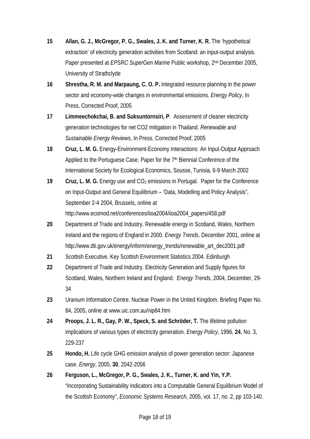- 15 Allan, G. J., McGregor, P. G., Swales, J. K. and Turner, K. R. The 'hypothetical extraction' of electricity generation activities from Scotland: an input-output analysis. Paper presented at *EPSRC SuperGen Marine* Public workshop, 2nd December 2005, University of Strathclyde
- **16 Shrestha, R. M. and Marpaung, C. O. P.** Integrated resource planning in the power sector and economy-wide changes in environmental emissions. *Energy Policy*, In Press, Corrected Proof, 2005
- **17 Limmeechokchai, B. and Suksuntornsiri, P**. Assessment of cleaner electricity generation technologies for net CO2 mitigation in Thailand. *Renewable and Sustainable Energy Reviews*, In Press, Corrected Proof, 2005
- **18 Cruz, L. M. G.** Energy-Environment-Economy Interactions: An Input-Output Approach Applied to the Portuguese Case. Paper for the  $7<sup>th</sup>$  Biennial Conference of the International Society for Ecological Economics, Sousse, Tunisia, 6-9 March 2002
- 19 Cruz, L. M. G. Energy use and CO<sub>2</sub> emissions in Portugal. Paper for the Conference on Input-Output and General Equilibrium – 'Data, Modelling and Policy Analysis", September 2-4 2004, Brussels, online at http://www.ecomod.net/conferences/iioa2004/iioa2004\_papers/458.pdf
- **20** Department of Trade and Industry. Renewable energy in Scotland, Wales, Northern Ireland and the regions of England in 2000. *Energy Trends*, December 2001, online at http://www.dti.gov.uk/energy/inform/energy\_trends/renewable\_art\_dec2001.pdf
- **21** Scottish Executive. Key Scottish Environment Statistics 2004. Edinburgh
- **22** Department of Trade and Industry. Electricity Generation and Supply figures for Scotland, Wales, Northern Ireland and England. *Energy Trends*, 2004, December, 29- 34
- **23** Uranium Information Centre. Nuclear Power in the United Kingdom. Briefing Paper No. 84, 2005, online at www.uic.com.au/nip84.htm
- 24 Proops, J. L. R., Gay, P. W., Speck, S. and Schröder, T. The lifetime pollution implications of various types of electricity generation. *Energy Policy*, 1996, **24**, No. 3, 229-237
- **25 Hondo, H.** Life cycle GHG emission analysis of power generation sector: Japanese case. *Energy*, 2005, **30**, 2042-2056
- **26 Ferguson, L., McGregor, P. G., Swales, J. K., Turner, K. and Yin, Y.P.** "Incorporating Sustainability Indicators into a Computable General Equilibrium Model of the Scottish Economy", *Economic Systems Research*, 2005, vol. 17, no. 2, pp 103-140.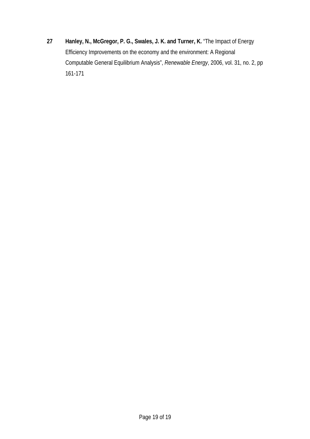**27 Hanley, N., McGregor, P. G., Swales, J. K. and Turner, K.** "The Impact of Energy Efficiency Improvements on the economy and the environment: A Regional Computable General Equilibrium Analysis", *Renewable Energy*, 2006, vol. 31, no. 2, pp 161-171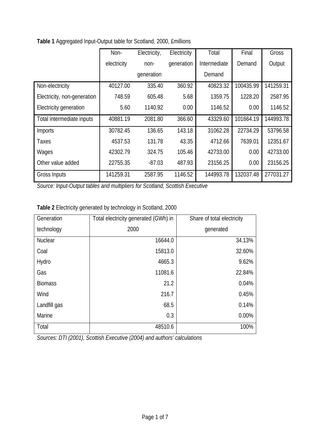|                             | Non-        | Electricity, | Electricity | Total        | Final     | Gross     |
|-----------------------------|-------------|--------------|-------------|--------------|-----------|-----------|
|                             | electricity | non-         | generation  | Intermediate | Demand    | Output    |
|                             |             | generation   |             | Demand       |           |           |
| Non-electricity             | 40127.00    | 335.40       | 360.92      | 40823.32     | 100435.99 | 141259.31 |
| Electricity, non-generation | 748.59      | 605.48       | 5.68        | 1359.75      | 1228.20   | 2587.95   |
| Electricity generation      | 5.60        | 1140.92      | 0.00        | 1146.52      | 0.00      | 1146.52   |
| Total intermediate inputs   | 40881.19    | 2081.80      | 366.60      | 43329.60     | 101664.19 | 144993.78 |
| Imports                     | 30782.45    | 136.65       | 143.18      | 31062.28     | 22734.29  | 53796.58  |
| Taxes                       | 4537.53     | 131.78       | 43.35       | 4712.66      | 7639.01   | 12351.67  |
| Wages                       | 42302.79    | 324.75       | 105.46      | 42733.00     | 0.00      | 42733.00  |
| Other value added           | 22755.35    | $-87.03$     | 487.93      | 23156.25     | 0.00      | 23156.25  |
| Gross Inputs                | 141259.31   | 2587.95      | 1146.52     | 144993.78    | 132037.48 | 277031.27 |

**Table 1** Aggregated Input-Output table for Scotland, 2000, £millions

*Source: Input-Output tables and multipliers for Scotland, Scottish Executive* 

| Table 2 Electricity generated by technology in Scotland, 2000 |  |  |  |  |  |
|---------------------------------------------------------------|--|--|--|--|--|
|---------------------------------------------------------------|--|--|--|--|--|

| Generation     | Total electricity generated (GWh) in | Share of total electricity |
|----------------|--------------------------------------|----------------------------|
| technology     | 2000                                 | generated                  |
| <b>Nuclear</b> | 16644.0                              | 34.13%                     |
| Coal           | 15813.0                              | 32.60%                     |
| Hydro          | 4665.3                               | 9.62%                      |
| Gas            | 11081.6                              | 22.84%                     |
| <b>Biomass</b> | 21.2                                 | 0.04%                      |
| Wind           | 216.7                                | 0.45%                      |
| Landfill gas   | 68.5                                 | 0.14%                      |
| Marine         | 0.3                                  | 0.00%                      |
| Total          | 48510.6                              | 100%                       |

*Sources: DTI (2001), Scottish Executive (2004) and authors' calculations*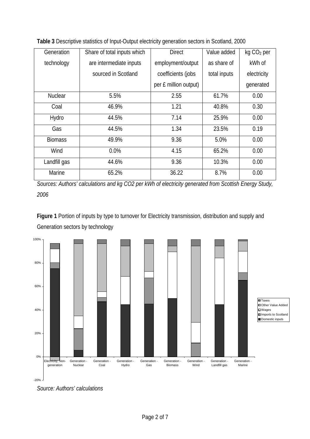| Generation     | Share of total inputs which | <b>Direct</b>         | Value added  | kg CO <sub>2</sub> per |
|----------------|-----------------------------|-----------------------|--------------|------------------------|
| technology     | are intermediate inputs     | employment/output     | as share of  | kWh of                 |
|                | sourced in Scotland         | coefficients (jobs    | total inputs | electricity            |
|                |                             | per £ million output) |              | generated              |
| <b>Nuclear</b> | 5.5%                        | 2.55                  | 61.7%        | 0.00                   |
| Coal           | 46.9%                       | 1.21                  | 40.8%        | 0.30                   |
| Hydro          | 44.5%                       | 7.14                  | 25.9%        | 0.00                   |
| Gas            | 44.5%                       | 1.34                  | 23.5%        | 0.19                   |
| <b>Biomass</b> | 49.9%                       | 9.36                  | 5.0%         | 0.00                   |
| Wind           | 0.0%                        | 4.15                  | 65.2%        | 0.00                   |
| Landfill gas   | 44.6%                       | 9.36                  | 10.3%        | 0.00                   |
| Marine         | 65.2%                       | 36.22                 | 8.7%         | 0.00                   |

**Table 3** Descriptive statistics of Input-Output electricity generation sectors in Scotland, 2000

*Sources: Authors' calculations and kg CO2 per kWh of electricity generated from Scottish Energy Study, 2006* 

**Figure 1** Portion of inputs by type to turnover for Electricity transmission, distribution and supply and Generation sectors by technology

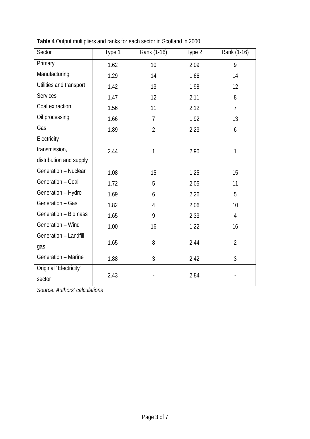| Sector                           | Type 1 | Rank (1-16)    | Type 2 | Rank (1-16)    |
|----------------------------------|--------|----------------|--------|----------------|
| Primary                          | 1.62   | 10             | 2.09   | 9              |
| Manufacturing                    | 1.29   | 14             | 1.66   | 14             |
| Utilities and transport          | 1.42   | 13             | 1.98   | 12             |
| <b>Services</b>                  | 1.47   | 12             | 2.11   | 8              |
| Coal extraction                  | 1.56   | 11             | 2.12   | $\overline{7}$ |
| Oil processing                   | 1.66   | 7              | 1.92   | 13             |
| Gas                              | 1.89   | $\overline{2}$ | 2.23   | 6              |
| Electricity                      |        |                |        |                |
| transmission,                    | 2.44   | 1              | 2.90   | 1              |
| distribution and supply          |        |                |        |                |
| Generation - Nuclear             | 1.08   | 15             | 1.25   | 15             |
| Generation - Coal                | 1.72   | 5              | 2.05   | 11             |
| Generation - Hydro               | 1.69   | 6              | 2.26   | 5              |
| Generation - Gas                 | 1.82   | 4              | 2.06   | 10             |
| Generation - Biomass             | 1.65   | 9              | 2.33   | $\overline{4}$ |
| Generation - Wind                | 1.00   | 16             | 1.22   | 16             |
| Generation - Landfill            |        |                |        |                |
| gas                              | 1.65   | 8              | 2.44   | $\overline{2}$ |
| Generation - Marine              | 1.88   | 3              | 2.42   | 3              |
| Original "Electricity"<br>sector | 2.43   |                | 2.84   |                |

**Table 4** Output multipliers and ranks for each sector in Scotland in 2000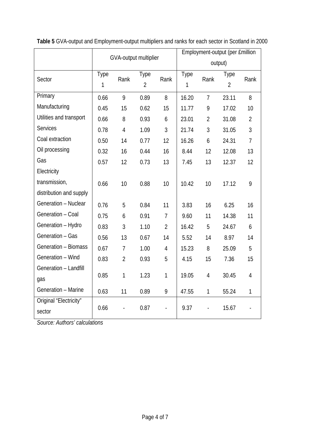|                                  | GVA-output multiplier |                |                        | Employment-output (per £million |           |                |                        |                |
|----------------------------------|-----------------------|----------------|------------------------|---------------------------------|-----------|----------------|------------------------|----------------|
|                                  |                       |                |                        | output)                         |           |                |                        |                |
| Sector                           | <b>Type</b><br>1      | Rank           | Type<br>$\overline{2}$ | Rank                            | Type<br>1 | Rank           | Type<br>$\overline{2}$ | Rank           |
| Primary                          | 0.66                  | 9              | 0.89                   | 8                               | 16.20     | $\overline{7}$ | 23.11                  | 8              |
| Manufacturing                    | 0.45                  | 15             | 0.62                   | 15                              | 11.77     | 9              | 17.02                  | 10             |
| Utilities and transport          | 0.66                  | 8              | 0.93                   | 6                               | 23.01     | $\overline{2}$ | 31.08                  | $\overline{2}$ |
| <b>Services</b>                  | 0.78                  | $\overline{4}$ | 1.09                   | 3                               | 21.74     | $\mathfrak{Z}$ | 31.05                  | $\mathfrak{Z}$ |
| Coal extraction                  | 0.50                  | 14             | 0.77                   | 12                              | 16.26     | 6              | 24.31                  | $\overline{7}$ |
| Oil processing                   | 0.32                  | 16             | 0.44                   | 16                              | 8.44      | 12             | 12.08                  | 13             |
| Gas                              | 0.57                  | 12             | 0.73                   | 13                              | 7.45      | 13             | 12.37                  | 12             |
| Electricity                      |                       |                |                        |                                 |           |                |                        |                |
| transmission,                    | 0.66                  | 10             | 0.88                   | 10                              | 10.42     | 10             | 17.12                  | 9              |
| distribution and supply          |                       |                |                        |                                 |           |                |                        |                |
| Generation - Nuclear             | 0.76                  | 5              | 0.84                   | 11                              | 3.83      | 16             | 6.25                   | 16             |
| Generation - Coal                | 0.75                  | 6              | 0.91                   | $\overline{7}$                  | 9.60      | 11             | 14.38                  | 11             |
| Generation - Hydro               | 0.83                  | 3              | 1.10                   | $\overline{2}$                  | 16.42     | 5              | 24.67                  | 6              |
| Generation - Gas                 | 0.56                  | 13             | 0.67                   | 14                              | 5.52      | 14             | 8.97                   | 14             |
| Generation - Biomass             | 0.67                  | $\overline{7}$ | 1.00                   | $\overline{4}$                  | 15.23     | 8              | 25.09                  | 5              |
| Generation - Wind                | 0.83                  | $\overline{2}$ | 0.93                   | 5                               | 4.15      | 15             | 7.36                   | 15             |
| Generation - Landfill            |                       |                |                        |                                 |           |                |                        |                |
| gas                              | 0.85                  | 1              | 1.23                   | $\mathbf{1}$                    | 19.05     | $\overline{4}$ | 30.45                  | $\overline{4}$ |
| Generation - Marine              | 0.63                  | 11             | 0.89                   | 9                               | 47.55     | $\mathbf{1}$   | 55.24                  | $\mathbf{1}$   |
| Original "Electricity"<br>sector | 0.66                  |                | 0.87                   |                                 | 9.37      |                | 15.67                  |                |

**Table 5** GVA-output and Employment-output multipliers and ranks for each sector in Scotland in 2000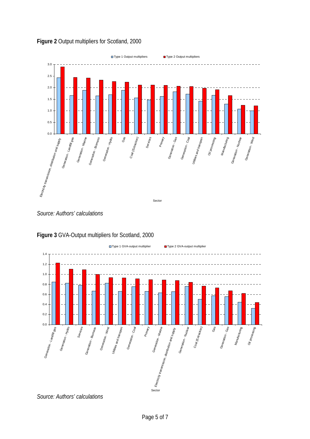

#### **Figure 2** Output multipliers for Scotland, 2000

*Source: Authors' calculations* 



**Figure 3** GVA-Output multipliers for Scotland, 2000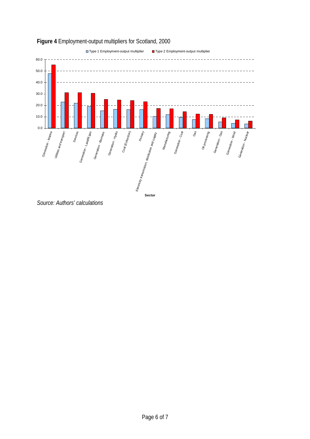



*Source: Authors' calculations*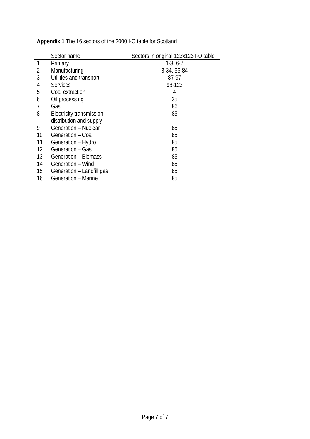|    | Sector name               | Sectors in original 123x123 I-O table |
|----|---------------------------|---------------------------------------|
|    | Primary                   | $1-3, 6-7$                            |
| 2  | Manufacturing             | 8-34, 36-84                           |
| 3  | Utilities and transport   | 87-97                                 |
| 4  | <b>Services</b>           | 98-123                                |
| 5  | Coal extraction           | 4                                     |
| 6  | Oil processing            | 35                                    |
|    | Gas                       | 86                                    |
| 8  | Electricity transmission, | 85                                    |
|    | distribution and supply   |                                       |
| 9  | Generation - Nuclear      | 85                                    |
| 10 | Generation - Coal         | 85                                    |
| 11 | Generation - Hydro        | 85                                    |
| 12 | Generation - Gas          | 85                                    |
| 13 | Generation - Biomass      | 85                                    |
| 14 | Generation - Wind         | 85                                    |
| 15 | Generation - Landfill gas | 85                                    |
| 16 | Generation - Marine       | 85                                    |

**Appendix 1** The 16 sectors of the 2000 I-O table for Scotland